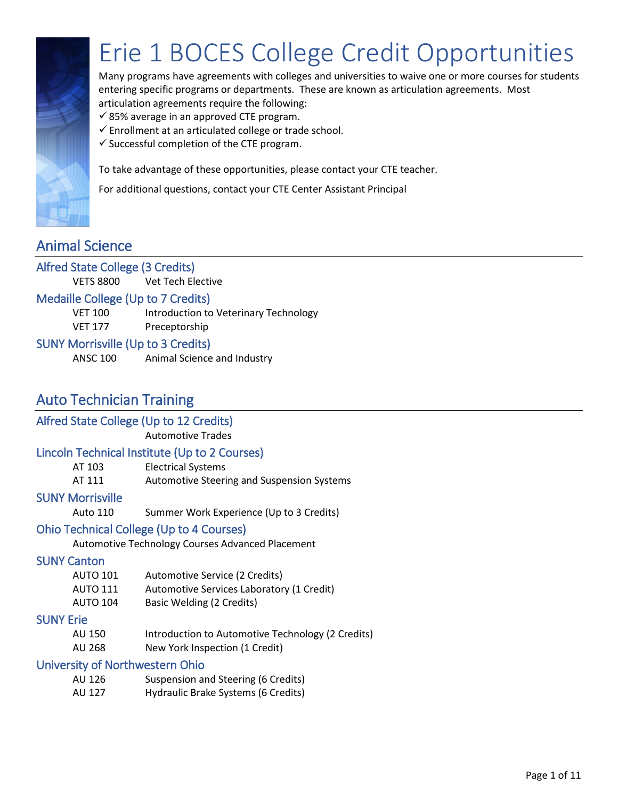

## Erie 1 BOCES College Credit Opportunities

Many programs have agreements with colleges and universities to waive one or more courses for students entering specific programs or departments. These are known as articulation agreements. Most articulation agreements require the following:

- $\checkmark$  85% average in an approved CTE program.
- $\checkmark$  Enrollment at an articulated college or trade school.
- $\checkmark$  Successful completion of the CTE program.

To take advantage of these opportunities, please contact your CTE teacher.

For additional questions, contact your CTE Center Assistant Principal

## Animal Science

## Alfred State College (3 Credits)

VETS 8800 Vet Tech Elective

#### Medaille College (Up to 7 Credits)

VET 100 Introduction to Veterinary Technology

VET 177 Preceptorship

#### SUNY Morrisville (Up to 3 Credits)

ANSC 100 Animal Science and Industry

## Auto Technician Training

## Alfred State College (Up to 12 Credits)

Automotive Trades

#### Lincoln Technical Institute (Up to 2 Courses)

| AT 103 | <b>Electrical Systems</b>                  |
|--------|--------------------------------------------|
| AT 111 | Automotive Steering and Suspension Systems |

#### SUNY Morrisville

Auto 110 Summer Work Experience (Up to 3 Credits)

#### Ohio Technical College (Up to 4 Courses)

Automotive Technology Courses Advanced Placement

#### SUNY Canton

AUTO 101 Automotive Service (2 Credits) AUTO 111 Automotive Services Laboratory (1 Credit) AUTO 104 Basic Welding (2 Credits)

#### SUNY Erie

- AU 150 Introduction to Automotive Technology (2 Credits)
- AU 268 New York Inspection (1 Credit)

#### University of Northwestern Ohio

| AU 126 | Suspension and Steering (6 Credits) |
|--------|-------------------------------------|
| AU 127 | Hydraulic Brake Systems (6 Credits) |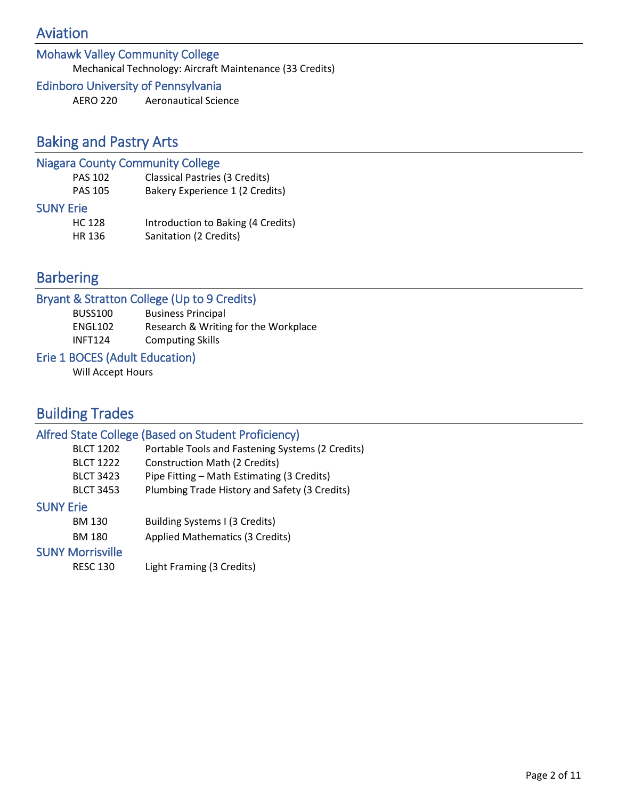## Aviation

## Mohawk Valley Community College

Mechanical Technology: Aircraft Maintenance (33 Credits)

## Edinboro University of Pennsylvania

AERO 220 Aeronautical Science

## Baking and Pastry Arts

## Niagara County Community College

| <b>PAS 102</b>   | <b>Classical Pastries (3 Credits)</b> |
|------------------|---------------------------------------|
| <b>PAS 105</b>   | Bakery Experience 1 (2 Credits)       |
| <b>SUNY Erie</b> |                                       |
| <b>HC 128</b>    | Introduction to Baking (4 Credits)    |
| HR 136           | Sanitation (2 Credits)                |

## Barbering

|                | Bryant & Stratton College (Up to 9 Credits) |
|----------------|---------------------------------------------|
| <b>BUSS100</b> | <b>Business Principal</b>                   |
| ENGL102        | Research & Writing for the Workplace        |
| <b>INFT124</b> | <b>Computing Skills</b>                     |
|                |                                             |

## Erie 1 BOCES (Adult Education)

Will Accept Hours

## Building Trades

## Alfred State College (Based on Student Proficiency)

| <b>BLCT 1202</b>        | Portable Tools and Fastening Systems (2 Credits) |
|-------------------------|--------------------------------------------------|
| <b>BLCT 1222</b>        | <b>Construction Math (2 Credits)</b>             |
| <b>BLCT 3423</b>        | Pipe Fitting - Math Estimating (3 Credits)       |
| <b>BLCT 3453</b>        | Plumbing Trade History and Safety (3 Credits)    |
| <b>SUNY Erie</b>        |                                                  |
| <b>BM 130</b>           | Building Systems I (3 Credits)                   |
| <b>BM 180</b>           | Applied Mathematics (3 Credits)                  |
| <b>SUNY Morrisville</b> |                                                  |
| <b>RESC 130</b>         | Light Framing (3 Credits)                        |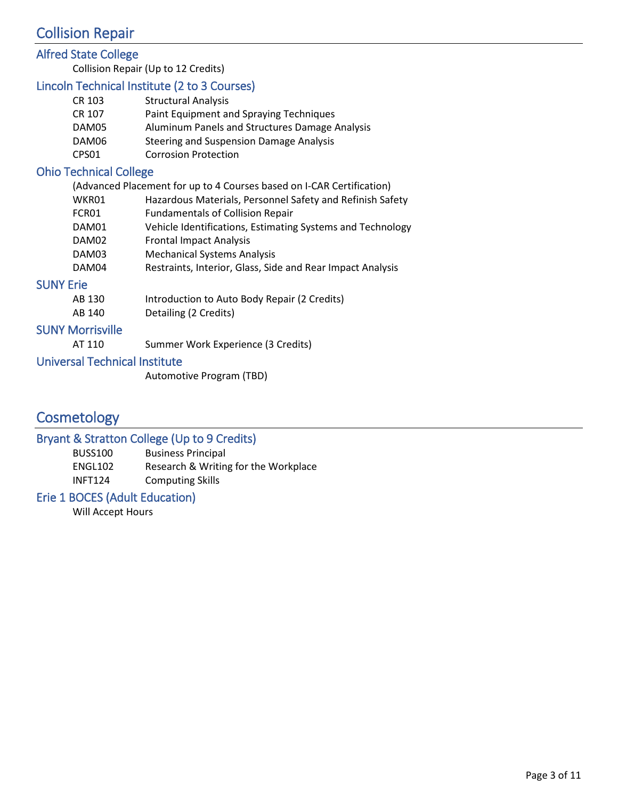## Collision Repair

## Alfred State College

Collision Repair (Up to 12 Credits)

## Lincoln Technical Institute (2 to 3 Courses)

| CR 103 | <b>Structural Analysis</b>                     |
|--------|------------------------------------------------|
| CR 107 | Paint Equipment and Spraying Techniques        |
| DAM05  | Aluminum Panels and Structures Damage Analysis |
| DAM06  | Steering and Suspension Damage Analysis        |
| CPS01  | <b>Corrosion Protection</b>                    |

## Ohio Technical College

| (Advanced Placement for up to 4 Courses based on I-CAR Certification) |                                                            |  |
|-----------------------------------------------------------------------|------------------------------------------------------------|--|
| WKR01                                                                 | Hazardous Materials, Personnel Safety and Refinish Safety  |  |
| FCR01                                                                 | <b>Fundamentals of Collision Repair</b>                    |  |
| DAM01                                                                 | Vehicle Identifications, Estimating Systems and Technology |  |
| DAM02                                                                 | <b>Frontal Impact Analysis</b>                             |  |
| DAM03                                                                 | <b>Mechanical Systems Analysis</b>                         |  |
| DAM04                                                                 | Restraints, Interior, Glass, Side and Rear Impact Analysis |  |
| Erie                                                                  |                                                            |  |
| AB 130                                                                | Introduction to Auto Body Repair (2 Credits)               |  |
|                                                                       |                                                            |  |

AB 140 Detailing (2 Credits)

## SUNY Morrisville

**SUNY** 

AT 110 Summer Work Experience (3 Credits)

#### Universal Technical Institute

Automotive Program (TBD)

## **Cosmetology**

## Bryant & Stratton College (Up to 9 Credits)

| BUSS100        | <b>Business Principal</b>            |
|----------------|--------------------------------------|
| ENGL102        | Research & Writing for the Workplace |
| <b>INFT124</b> | <b>Computing Skills</b>              |

## Erie 1 BOCES (Adult Education)

Will Accept Hours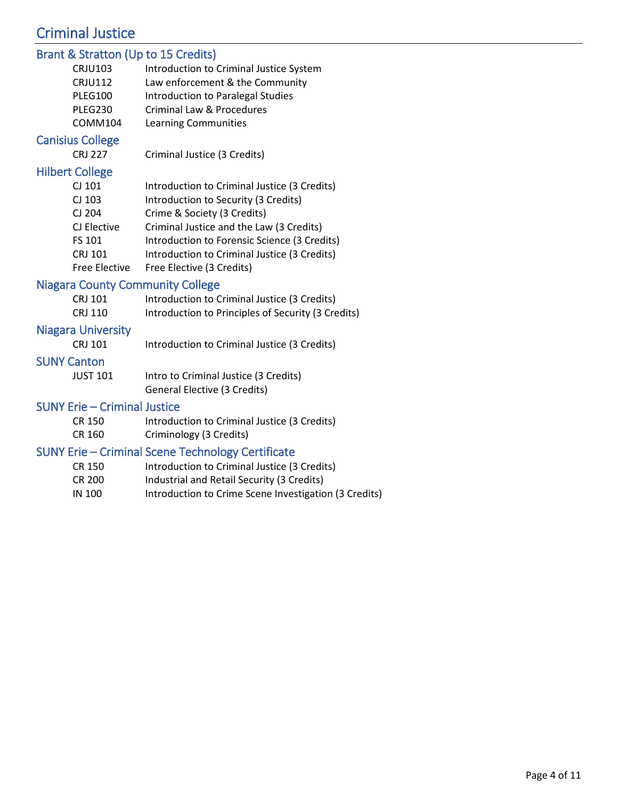## Criminal Justice

## Brant & Stratton (Up to 15 Credits)

|                         | Didn't & Stratton (Op to 13 Credits)               |
|-------------------------|----------------------------------------------------|
| <b>CRJU103</b>          | Introduction to Criminal Justice System            |
| <b>CRJU112</b>          | Law enforcement & the Community                    |
| <b>PLEG100</b>          | <b>Introduction to Paralegal Studies</b>           |
| <b>PLEG230</b>          | Criminal Law & Procedures                          |
| <b>COMM104</b>          | Learning Communities                               |
| <b>Canisius College</b> |                                                    |
| <b>CRJ 227</b>          | Criminal Justice (3 Credits)                       |
| <b>Hilbert College</b>  |                                                    |
| CJ 101                  | Introduction to Criminal Justice (3 Credits)       |
| CJ 103                  | Introduction to Security (3 Credits)               |
| CJ 204                  | Crime & Society (3 Credits)                        |
| CJ Elective             | Criminal Justice and the Law (3 Credits)           |
| FS 101                  | Introduction to Forensic Science (3 Credits)       |
| CRJ 101                 | Introduction to Criminal Justice (3 Credits)       |
| Free Elective           | Free Elective (3 Credits)                          |
|                         | <b>Niagara County Community College</b>            |
| CRJ 101                 | Introduction to Criminal Justice (3 Credits)       |
| CRJ 110                 | Introduction to Principles of Security (3 Credits) |
| Niagara Hniversity      |                                                    |

#### Niagara University

CRJ 101 Introduction to Criminal Justice (3 Credits)

#### SUNY Canton

| <b>JUST 101</b> | Intro to Criminal Justice (3 Credits) |
|-----------------|---------------------------------------|
|                 | General Elective (3 Credits)          |

#### SUNY Erie – Criminal Justice

CR 150 Introduction to Criminal Justice (3 Credits) CR 160 Criminology (3 Credits)

## SUNY Erie – Criminal Scene Technology Certificate

- CR 150 Introduction to Criminal Justice (3 Credits) CR 200 Industrial and Retail Security (3 Credits)
- IN 100 Introduction to Crime Scene Investigation (3 Credits)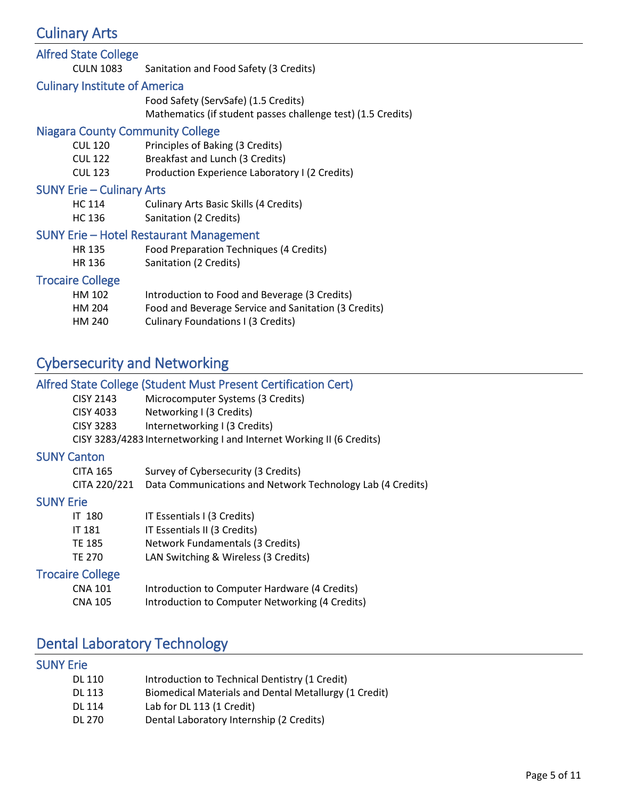## Culinary Arts

| <b>Alfred State College</b>                    |                                                                                                      |  |
|------------------------------------------------|------------------------------------------------------------------------------------------------------|--|
| CULN 1083                                      | Sanitation and Food Safety (3 Credits)                                                               |  |
| <b>Culinary Institute of America</b>           |                                                                                                      |  |
|                                                | Food Safety (ServSafe) (1.5 Credits)<br>Mathematics (if student passes challenge test) (1.5 Credits) |  |
| <b>Niagara County Community College</b>        |                                                                                                      |  |
| <b>CUL 120</b>                                 | Principles of Baking (3 Credits)                                                                     |  |
| <b>CUL 122</b>                                 | Breakfast and Lunch (3 Credits)                                                                      |  |
| <b>CUL 123</b>                                 | Production Experience Laboratory I (2 Credits)                                                       |  |
| <b>SUNY Erie - Culinary Arts</b>               |                                                                                                      |  |
| <b>HC 114</b>                                  | <b>Culinary Arts Basic Skills (4 Credits)</b>                                                        |  |
| HC 136                                         | Sanitation (2 Credits)                                                                               |  |
| <b>SUNY Erie - Hotel Restaurant Management</b> |                                                                                                      |  |
| HR 135                                         | Food Preparation Techniques (4 Credits)                                                              |  |
| HR 136                                         | Sanitation (2 Credits)                                                                               |  |
| <b>Trocaire College</b>                        |                                                                                                      |  |
| HM 102                                         | Introduction to Food and Beverage (3 Credits)                                                        |  |
| HM 204                                         | Food and Beverage Service and Sanitation (3 Credits)                                                 |  |
| HM 240                                         | Culinary Foundations I (3 Credits)                                                                   |  |

## Cybersecurity and Networking

## Alfred State College (Student Must Present Certification Cert)

| <b>CISY 2143</b> | Microcomputer Systems (3 Credits)                                    |
|------------------|----------------------------------------------------------------------|
| CISY 4033        | Networking I (3 Credits)                                             |
| <b>CISY 3283</b> | Internetworking I (3 Credits)                                        |
|                  | CISY 3283/4283 Internetworking I and Internet Working II (6 Credits) |

## SUNY Canton

| <b>CITA 165</b> | Survey of Cybersecurity (3 Credits)                                     |
|-----------------|-------------------------------------------------------------------------|
|                 | CITA 220/221 Data Communications and Network Technology Lab (4 Credits) |

#### SUNY Erie

| IT 180 | IT Essentials I (3 Credits)          |
|--------|--------------------------------------|
| IT 181 | IT Essentials II (3 Credits)         |
| TE 185 | Network Fundamentals (3 Credits)     |
| TE 270 | LAN Switching & Wireless (3 Credits) |

## Trocaire College

| <b>CNA 101</b> | Introduction to Computer Hardware (4 Credits)   |
|----------------|-------------------------------------------------|
| <b>CNA 105</b> | Introduction to Computer Networking (4 Credits) |

## Dental Laboratory Technology

## SUNY Erie

| DL 110 | Introduction to Technical Dentistry (1 Credit)        |
|--------|-------------------------------------------------------|
| DL 113 | Biomedical Materials and Dental Metallurgy (1 Credit) |
| DL 114 | Lab for DL 113 (1 Credit)                             |
| DL 270 | Dental Laboratory Internship (2 Credits)              |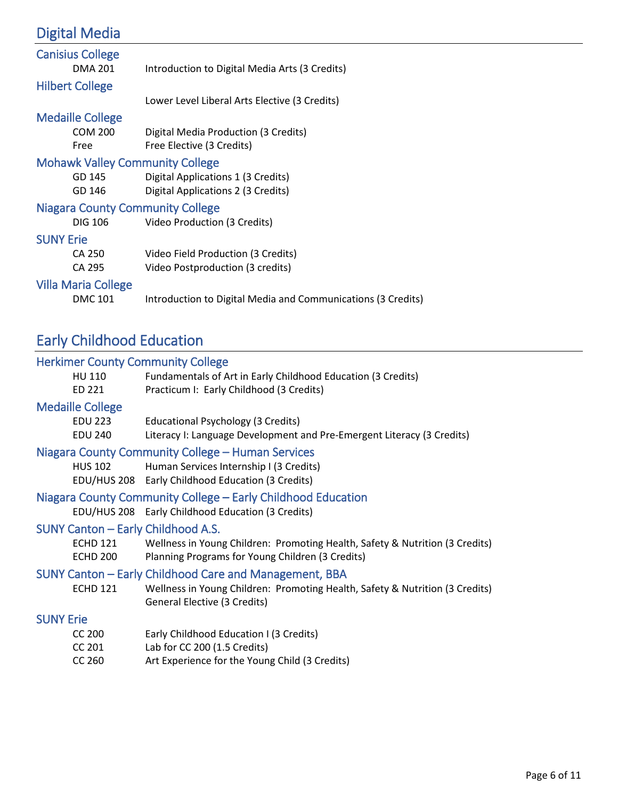## Digital Media

| <b>Canisius College</b>                 |                                                              |
|-----------------------------------------|--------------------------------------------------------------|
| <b>DMA 201</b>                          | Introduction to Digital Media Arts (3 Credits)               |
| <b>Hilbert College</b>                  |                                                              |
|                                         | Lower Level Liberal Arts Elective (3 Credits)                |
| <b>Medaille College</b>                 |                                                              |
| <b>COM 200</b>                          | Digital Media Production (3 Credits)                         |
| Free                                    | Free Elective (3 Credits)                                    |
| <b>Mohawk Valley Community College</b>  |                                                              |
| GD 145                                  | Digital Applications 1 (3 Credits)                           |
| GD 146                                  | Digital Applications 2 (3 Credits)                           |
| <b>Niagara County Community College</b> |                                                              |
| DIG 106                                 | Video Production (3 Credits)                                 |
| <b>SUNY Erie</b>                        |                                                              |
| CA 250                                  | Video Field Production (3 Credits)                           |
| CA 295                                  | Video Postproduction (3 credits)                             |
| <b>Villa Maria College</b>              |                                                              |
| <b>DMC 101</b>                          | Introduction to Digital Media and Communications (3 Credits) |

## Early Childhood Education

| <b>Herkimer County Community College</b>                     |                             |                                                                                                                                  |
|--------------------------------------------------------------|-----------------------------|----------------------------------------------------------------------------------------------------------------------------------|
| HU 110                                                       |                             | Fundamentals of Art in Early Childhood Education (3 Credits)                                                                     |
| ED 221                                                       |                             | Practicum I: Early Childhood (3 Credits)                                                                                         |
| <b>Medaille College</b>                                      |                             |                                                                                                                                  |
| <b>EDU 223</b>                                               |                             | Educational Psychology (3 Credits)                                                                                               |
| <b>EDU 240</b>                                               |                             | Literacy I: Language Development and Pre-Emergent Literacy (3 Credits)                                                           |
| Niagara County Community College - Human Services            |                             |                                                                                                                                  |
|                                                              | <b>HUS 102</b>              | Human Services Internship I (3 Credits)                                                                                          |
|                                                              |                             | EDU/HUS 208 Early Childhood Education (3 Credits)                                                                                |
| Niagara County Community College – Early Childhood Education |                             |                                                                                                                                  |
|                                                              |                             | EDU/HUS 208 Early Childhood Education (3 Credits)                                                                                |
|                                                              |                             | SUNY Canton – Early Childhood A.S.                                                                                               |
|                                                              | <b>ECHD 121</b><br>ECHD 200 | Wellness in Young Children: Promoting Health, Safety & Nutrition (3 Credits)<br>Planning Programs for Young Children (3 Credits) |
|                                                              |                             | SUNY Canton – Early Childhood Care and Management, BBA                                                                           |
| <b>ECHD 121</b>                                              |                             | Wellness in Young Children: Promoting Health, Safety & Nutrition (3 Credits)<br>General Elective (3 Credits)                     |
| <b>SUNY Erie</b>                                             |                             |                                                                                                                                  |
| <b>CC 200</b>                                                |                             | Early Childhood Education I (3 Credits)                                                                                          |
| CC 201                                                       |                             | Lab for CC 200 (1.5 Credits)                                                                                                     |
| CC 260                                                       |                             | Art Experience for the Young Child (3 Credits)                                                                                   |
|                                                              |                             |                                                                                                                                  |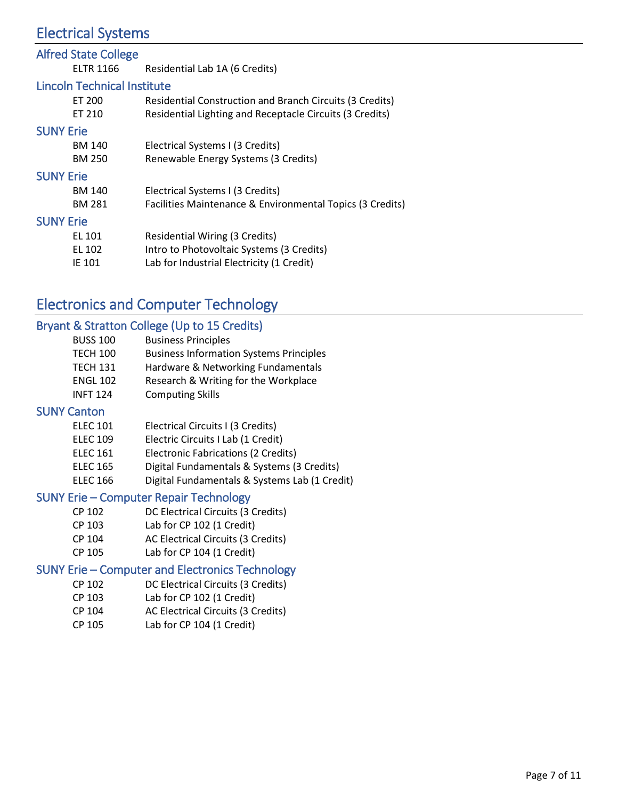## Electrical Systems

| <b>Alfred State College</b>        |                                                                 |
|------------------------------------|-----------------------------------------------------------------|
| <b>ELTR 1166</b>                   | Residential Lab 1A (6 Credits)                                  |
| <b>Lincoln Technical Institute</b> |                                                                 |
| ET 200                             | <b>Residential Construction and Branch Circuits (3 Credits)</b> |
| ET 210                             | Residential Lighting and Receptacle Circuits (3 Credits)        |
| <b>SUNY Erie</b>                   |                                                                 |
| <b>BM 140</b>                      | Electrical Systems I (3 Credits)                                |
| <b>BM 250</b>                      | Renewable Energy Systems (3 Credits)                            |
| <b>SUNY Erie</b>                   |                                                                 |
| <b>BM 140</b>                      | Electrical Systems I (3 Credits)                                |
| <b>BM 281</b>                      | Facilities Maintenance & Environmental Topics (3 Credits)       |
| <b>SUNY Erie</b>                   |                                                                 |
| EL 101                             | Residential Wiring (3 Credits)                                  |
| EL 102                             | Intro to Photovoltaic Systems (3 Credits)                       |
| IE 101                             | Lab for Industrial Electricity (1 Credit)                       |
|                                    |                                                                 |

## Electronics and Computer Technology

## Bryant & Stratton College (Up to 15 Credits)

| <b>BUSS 100</b> | <b>Business Principles</b>                     |
|-----------------|------------------------------------------------|
| TECH 100        | <b>Business Information Systems Principles</b> |
| <b>TECH 131</b> | Hardware & Networking Fundamentals             |
| <b>ENGL 102</b> | Research & Writing for the Workplace           |
| <b>INFT 124</b> | <b>Computing Skills</b>                        |

#### SUNY Canton

- ELEC 109 Electric Circuits I Lab (1 Credit)
- ELEC 161 Electronic Fabrications (2 Credits)
- ELEC 165 Digital Fundamentals & Systems (3 Credits)
- ELEC 166 Digital Fundamentals & Systems Lab (1 Credit)

#### SUNY Erie – Computer Repair Technology

- CP 102 DC Electrical Circuits (3 Credits)
- CP 103 Lab for CP 102 (1 Credit)
- CP 104 AC Electrical Circuits (3 Credits)
- CP 105 Lab for CP 104 (1 Credit)

## SUNY Erie – Computer and Electronics Technology

- CP 102 DC Electrical Circuits (3 Credits)
- CP 103 Lab for CP 102 (1 Credit)
- CP 104 AC Electrical Circuits (3 Credits)
- CP 105 Lab for CP 104 (1 Credit)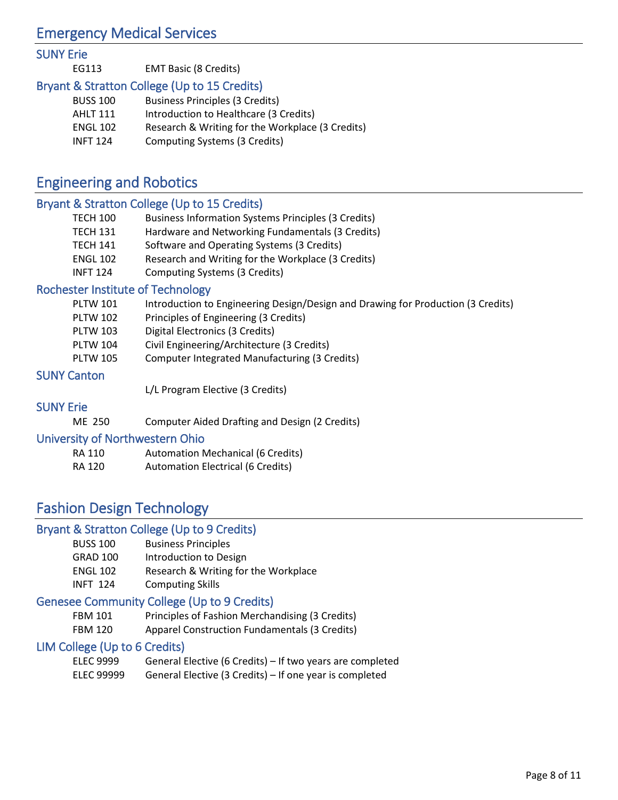## Emergency Medical Services

#### SUNY Erie

| EG113 | <b>EMT Basic (8 Credits)</b> |                                                 |
|-------|------------------------------|-------------------------------------------------|
|       |                              | the contract of the contract of the contract of |

## Bryant & Stratton College (Up to 15 Credits)

| <b>BUSS 100</b> | <b>Business Principles (3 Credits)</b>           |
|-----------------|--------------------------------------------------|
| AHLT 111        | Introduction to Healthcare (3 Credits)           |
| <b>ENGL 102</b> | Research & Writing for the Workplace (3 Credits) |
| <b>INFT 124</b> | Computing Systems (3 Credits)                    |

## Engineering and Robotics

## Bryant & Stratton College (Up to 15 Credits)

| <b>TECH 100</b> | <b>Business Information Systems Principles (3 Credits)</b> |
|-----------------|------------------------------------------------------------|
| TECH 131        | Hardware and Networking Fundamentals (3 Credits)           |
| TECH 141        | Software and Operating Systems (3 Credits)                 |
| <b>ENGL 102</b> | Research and Writing for the Workplace (3 Credits)         |
| <b>INFT 124</b> | Computing Systems (3 Credits)                              |

## Rochester Institute of Technology

| Introduction to Engineering Design/Design and Drawing for Production (3 Credits) | PLTW 101 |  |  |  |  |  |
|----------------------------------------------------------------------------------|----------|--|--|--|--|--|
|----------------------------------------------------------------------------------|----------|--|--|--|--|--|

- PLTW 102 Principles of Engineering (3 Credits)
- PLTW 103 Digital Electronics (3 Credits)
- PLTW 104 Civil Engineering/Architecture (3 Credits)
- PLTW 105 Computer Integrated Manufacturing (3 Credits)

## SUNY Canton

L/L Program Elective (3 Credits)

## SUNY Erie

ME 250 Computer Aided Drafting and Design (2 Credits)

## University of Northwestern Ohio

| RA 110 | <b>Automation Mechanical (6 Credits)</b> |
|--------|------------------------------------------|
| RA 120 | <b>Automation Electrical (6 Credits)</b> |

## Fashion Design Technology

## Bryant & Stratton College (Up to 9 Credits)

BUSS 100 Business Principles GRAD 100 Introduction to Design ENGL 102 Research & Writing for the Workplace INFT 124 Computing Skills

## Genesee Community College (Up to 9 Credits)

| FBM 101        | Principles of Fashion Merchandising (3 Credits) |
|----------------|-------------------------------------------------|
| <b>FDR4130</b> | Annoral Construction Eundomantals (2 Cradita)   |

FBM 120 Apparel Construction Fundamentals (3 Credits)

## LIM College (Up to 6 Credits)

| ELEC 9999  | General Elective (6 Credits) – If two years are completed |
|------------|-----------------------------------------------------------|
| ELEC 99999 | General Elective (3 Credits) – If one year is completed   |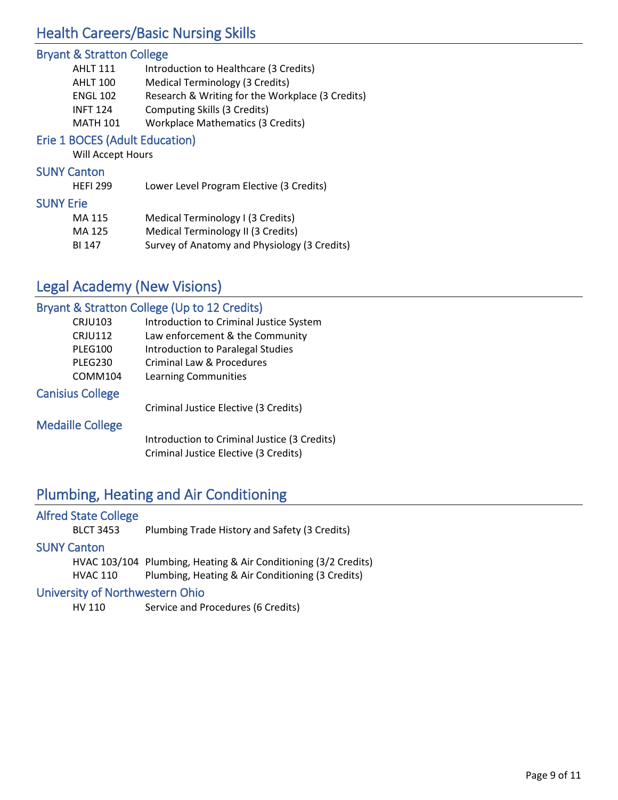## Health Careers/Basic Nursing Skills

## Bryant & Stratton College

| <b>AHLT 111</b> | Introduction to Healthcare (3 Credits)           |
|-----------------|--------------------------------------------------|
| AHLT 100        | <b>Medical Terminology (3 Credits)</b>           |
| <b>ENGL 102</b> | Research & Writing for the Workplace (3 Credits) |
| <b>INFT 124</b> | Computing Skills (3 Credits)                     |
| <b>MATH 101</b> | <b>Workplace Mathematics (3 Credits)</b>         |

## Erie 1 BOCES (Adult Education)

Will Accept Hours

#### SUNY Canton

HEFI 299 Lower Level Program Elective (3 Credits)

#### SUNY Erie

| MA 115 | Medical Terminology I (3 Credits)            |
|--------|----------------------------------------------|
| MA 125 | Medical Terminology II (3 Credits)           |
| BI 147 | Survey of Anatomy and Physiology (3 Credits) |

## Legal Academy (New Visions)

## Bryant & Stratton College (Up to 12 Credits)

| <b>CRJU103</b>          | Introduction to Criminal Justice System      |
|-------------------------|----------------------------------------------|
| <b>CRJU112</b>          | Law enforcement & the Community              |
| <b>PLEG100</b>          | Introduction to Paralegal Studies            |
| PLEG230                 | Criminal Law & Procedures                    |
| COMM104                 | Learning Communities                         |
| <b>Canisius College</b> |                                              |
|                         | Criminal Justice Elective (3 Credits)        |
| <b>Medaille College</b> |                                              |
|                         | Introduction to Criminal Justice (3 Credits) |
|                         | Criminal Justice Elective (3 Credits)        |

## Plumbing, Heating and Air Conditioning

| <b>Alfred State College</b>     |                                                                 |  |
|---------------------------------|-----------------------------------------------------------------|--|
| <b>BLCT 3453</b>                | Plumbing Trade History and Safety (3 Credits)                   |  |
| <b>SUNY Canton</b>              |                                                                 |  |
|                                 | HVAC 103/104 Plumbing, Heating & Air Conditioning (3/2 Credits) |  |
| <b>HVAC 110</b>                 | Plumbing, Heating & Air Conditioning (3 Credits)                |  |
| University of Northwestern Ohio |                                                                 |  |

HV 110 Service and Procedures (6 Credits)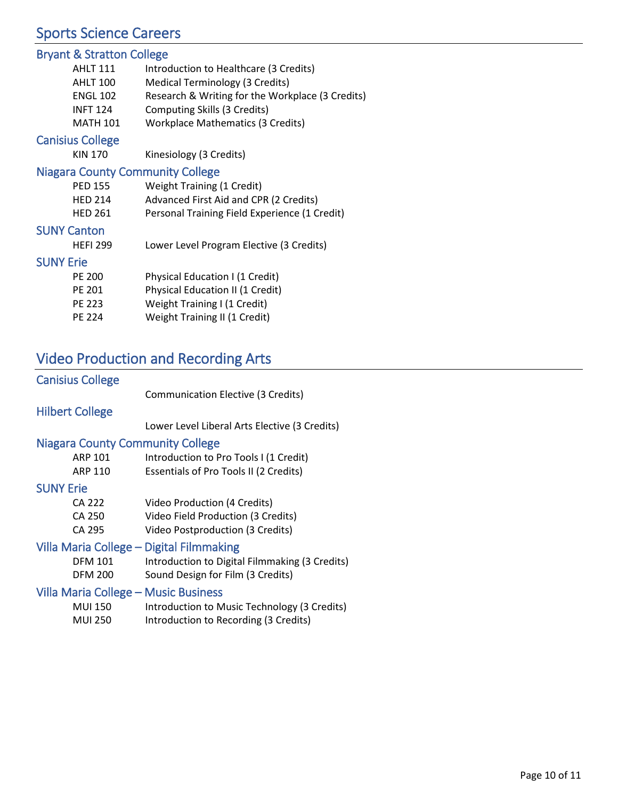## Sports Science Careers

## Bryant & Stratton College

| <b>AHLT 111</b>         | Introduction to Healthcare (3 Credits)           |
|-------------------------|--------------------------------------------------|
| <b>AHLT 100</b>         | <b>Medical Terminology (3 Credits)</b>           |
| <b>ENGL 102</b>         | Research & Writing for the Workplace (3 Credits) |
| <b>INFT 124</b>         | Computing Skills (3 Credits)                     |
| <b>MATH 101</b>         | <b>Workplace Mathematics (3 Credits)</b>         |
| <b>Canisius College</b> |                                                  |
| <b>KIN 170</b>          | Kinesiology (3 Credits)                          |

## Niagara County Community College

| $1.11.07$ and $1.07.07$ and $1.11.07$ and $1.07.07$ and $1.07.07$ and $1.07.07$ and $1.07.07$ and $1.07.07$ and $1.07.07$ and $1.07.07$ and $1.07.07$ and $1.07.07$ and $1.07.07$ and $1.07.07$ and $1.07.07$ and $1.07.07$ a |                                               |
|-------------------------------------------------------------------------------------------------------------------------------------------------------------------------------------------------------------------------------|-----------------------------------------------|
| <b>PED 155</b>                                                                                                                                                                                                                | Weight Training (1 Credit)                    |
| <b>HED 214</b>                                                                                                                                                                                                                | Advanced First Aid and CPR (2 Credits)        |
| <b>HED 261</b>                                                                                                                                                                                                                | Personal Training Field Experience (1 Credit) |
| <b>SUNY Canton</b>                                                                                                                                                                                                            |                                               |
| <b>HEFI 299</b>                                                                                                                                                                                                               | Lower Level Program Elective (3 Credits)      |
|                                                                                                                                                                                                                               |                                               |

#### SUNY Erie

| PE 200        | Physical Education I (1 Credit)  |
|---------------|----------------------------------|
| PF 201        | Physical Education II (1 Credit) |
| <b>PE 223</b> | Weight Training I (1 Credit)     |
| PF 224        | Weight Training II (1 Credit)    |

## Video Production and Recording Arts

# Canisius College

Communication Elective (3 Credits)

## Hilbert College

Lower Level Liberal Arts Elective (3 Credits)

#### Niagara County Community College

| <b>ARP 101</b>                           | Introduction to Pro Tools I (1 Credit)         |
|------------------------------------------|------------------------------------------------|
| <b>ARP 110</b>                           | Essentials of Pro Tools II (2 Credits)         |
| <b>SUNY Erie</b>                         |                                                |
| <b>CA 222</b>                            | Video Production (4 Credits)                   |
| CA 250                                   | Video Field Production (3 Credits)             |
| CA 295                                   | Video Postproduction (3 Credits)               |
| Villa Maria College – Digital Filmmaking |                                                |
| <b>DFM 101</b>                           | Introduction to Digital Filmmaking (3 Credits) |
| <b>DFM 200</b>                           | Sound Design for Film (3 Credits)              |
| Villa Maria College – Music Business     |                                                |
| <b>MUI 150</b>                           | Introduction to Music Technology (3 Credits)   |
|                                          |                                                |

MUI 250 Introduction to Recording (3 Credits)